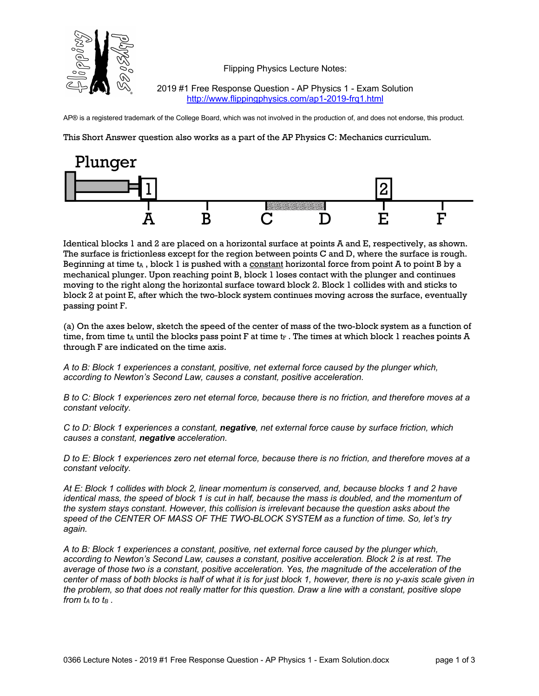

Flipping Physics Lecture Notes:

2019 #1 Free Response Question - AP Physics 1 - Exam Solution http://www.flippingphysics.com/ap1-2019-frq1.html

AP® is a registered trademark of the College Board, which was not involved in the production of, and does not endorse, this product.

This Short Answer question also works as a part of the AP Physics C: Mechanics curriculum.



Identical blocks 1 and 2 are placed on a horizontal surface at points A and E, respectively, as shown. The surface is frictionless except for the region between points C and D, where the surface is rough. Beginning at time  $t_A$ , block 1 is pushed with a constant horizontal force from point A to point B by a mechanical plunger. Upon reaching point B, block 1 loses contact with the plunger and continues moving to the right along the horizontal surface toward block 2. Block 1 collides with and sticks to block 2 at point E, after which the two-block system continues moving across the surface, eventually passing point F.

(a) On the axes below, sketch the speed of the center of mass of the two-block system as a function of time, from time  $t_A$  until the blocks pass point F at time  $t_F$ . The times at which block 1 reaches points A through F are indicated on the time axis.

*A to B: Block 1 experiences a constant, positive, net external force caused by the plunger which, according to Newton's Second Law, causes a constant, positive acceleration.*

*B to C: Block 1 experiences zero net eternal force, because there is no friction, and therefore moves at a constant velocity.*

*C to D: Block 1 experiences a constant, negative, net external force cause by surface friction, which causes a constant, negative acceleration.*

*D to E: Block 1 experiences zero net eternal force, because there is no friction, and therefore moves at a constant velocity.*

*At E: Block 1 collides with block 2, linear momentum is conserved, and, because blocks 1 and 2 have identical mass, the speed of block 1 is cut in half, because the mass is doubled, and the momentum of the system stays constant. However, this collision is irrelevant because the question asks about the speed of the CENTER OF MASS OF THE TWO-BLOCK SYSTEM as a function of time. So, let's try again.*

*A to B: Block 1 experiences a constant, positive, net external force caused by the plunger which, according to Newton's Second Law, causes a constant, positive acceleration. Block 2 is at rest. The average of those two is a constant, positive acceleration. Yes, the magnitude of the acceleration of the center of mass of both blocks is half of what it is for just block 1, however, there is no y-axis scale given in the problem, so that does not really matter for this question. Draw a line with a constant, positive slope from*  $t_A$  *to*  $t_B$ *.*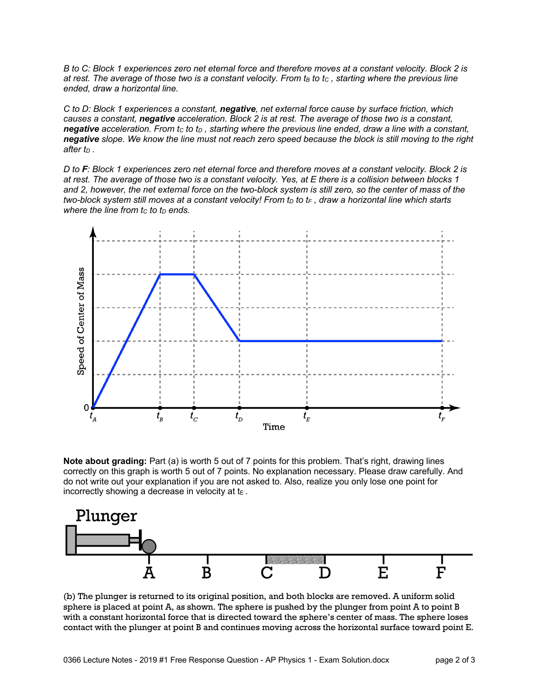*B to C: Block 1 experiences zero net eternal force and therefore moves at a constant velocity. Block 2 is at rest. The average of those two is a constant velocity. From t<sub>B</sub> to tc, starting where the previous line ended, draw a horizontal line.*

*C to D: Block 1 experiences a constant, negative, net external force cause by surface friction, which causes a constant, negative acceleration. Block 2 is at rest. The average of those two is a constant, negative* acceleration. From tc to t<sub>D</sub>, starting where the previous line ended, draw a line with a constant, *negative slope. We know the line must not reach zero speed because the block is still moving to the right*   $after$   $t<sub>D</sub>$ .

*D to F: Block 1 experiences zero net eternal force and therefore moves at a constant velocity. Block 2 is at rest. The average of those two is a constant velocity. Yes, at E there is a collision between blocks 1 and 2, however, the net external force on the two-block system is still zero, so the center of mass of the two-block system still moves at a constant velocity! From t<sub>p</sub> to t<sub>F</sub>, draw a horizontal line which starts where the line from*  $t_c$  *to*  $t_p$  *ends.* 



**Note about grading:** Part (a) is worth 5 out of 7 points for this problem. That's right, drawing lines correctly on this graph is worth 5 out of 7 points. No explanation necessary. Please draw carefully. And do not write out your explanation if you are not asked to. Also, realize you only lose one point for incorrectly showing a decrease in velocity at  $t_{E}$ .



(b) The plunger is returned to its original position, and both blocks are removed. A uniform solid sphere is placed at point A, as shown. The sphere is pushed by the plunger from point A to point B with a constant horizontal force that is directed toward the sphere's center of mass. The sphere loses contact with the plunger at point B and continues moving across the horizontal surface toward point E.